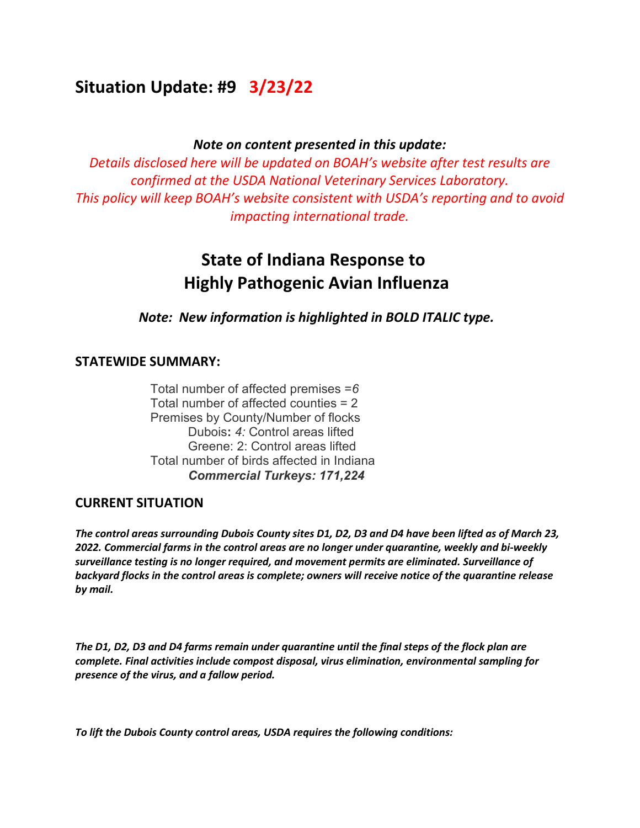# **Situation Update: #9 3/23/22**

#### *Note on content presented in this update:*

*Details disclosed here will be updated on BOAH's website after test results are confirmed at the USDA National Veterinary Services Laboratory. This policy will keep BOAH's website consistent with USDA's reporting and to avoid impacting international trade.* 

# **State of Indiana Response to Highly Pathogenic Avian Influenza**

*Note: New information is highlighted in BOLD ITALIC type.*

### **STATEWIDE SUMMARY:**

Total number of affected premises =*6* Total number of affected counties = 2 Premises by County/Number of flocks Dubois**:** *4:* Control areas lifted Greene: 2: Control areas lifted Total number of birds affected in Indiana *Commercial Turkeys: 171,224*

#### **CURRENT SITUATION**

*The control areas surrounding Dubois County sites D1, D2, D3 and D4 have been lifted as of March 23, 2022. Commercial farms in the control areas are no longer under quarantine, weekly and bi-weekly surveillance testing is no longer required, and movement permits are eliminated. Surveillance of backyard flocks in the control areas is complete; owners will receive notice of the quarantine release by mail.* 

*The D1, D2, D3 and D4 farms remain under quarantine until the final steps of the flock plan are complete. Final activities include compost disposal, virus elimination, environmental sampling for presence of the virus, and a fallow period.*

*To lift the Dubois County control areas, USDA requires the following conditions:*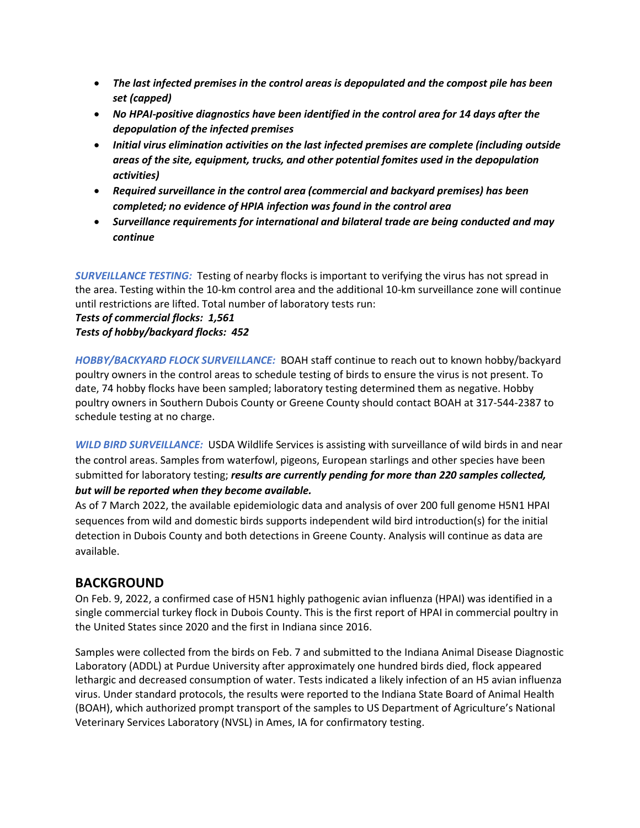- *The last infected premises in the control areas is depopulated and the compost pile has been set (capped)*
- *No HPAI-positive diagnostics have been identified in the control area for 14 days after the depopulation of the infected premises*
- *Initial virus elimination activities on the last infected premises are complete (including outside areas of the site, equipment, trucks, and other potential fomites used in the depopulation activities)*
- *Required surveillance in the control area (commercial and backyard premises) has been completed; no evidence of HPIA infection was found in the control area*
- *Surveillance requirements for international and bilateral trade are being conducted and may continue*

*SURVEILLANCE TESTING:* Testing of nearby flocks is important to verifying the virus has not spread in the area. Testing within the 10-km control area and the additional 10-km surveillance zone will continue until restrictions are lifted. Total number of laboratory tests run:

#### *Tests of commercial flocks: 1,561 Tests of hobby/backyard flocks: 452*

*HOBBY/BACKYARD FLOCK SURVEILLANCE:* BOAH staff continue to reach out to known hobby/backyard poultry owners in the control areas to schedule testing of birds to ensure the virus is not present. To date, 74 hobby flocks have been sampled; laboratory testing determined them as negative. Hobby poultry owners in Southern Dubois County or Greene County should contact BOAH at 317-544-2387 to schedule testing at no charge.

*WILD BIRD SURVEILLANCE:* USDA Wildlife Services is assisting with surveillance of wild birds in and near the control areas. Samples from waterfowl, pigeons, European starlings and other species have been submitted for laboratory testing; *results are currently pending for more than 220 samples collected, but will be reported when they become available.*

As of 7 March 2022, the available epidemiologic data and analysis of over 200 full genome H5N1 HPAI sequences from wild and domestic birds supports independent wild bird introduction(s) for the initial detection in Dubois County and both detections in Greene County. Analysis will continue as data are available.

## **BACKGROUND**

On Feb. 9, 2022, a confirmed case of H5N1 highly pathogenic avian influenza (HPAI) was identified in a single commercial turkey flock in Dubois County. This is the first report of HPAI in commercial poultry in the United States since 2020 and the first in Indiana since 2016. 

Samples were collected from the birds on Feb. 7 and submitted to the Indiana Animal Disease Diagnostic Laboratory (ADDL) at Purdue University after approximately one hundred birds died, flock appeared lethargic and decreased consumption of water. Tests indicated a likely infection of an H5 avian influenza virus. Under standard protocols, the results were reported to the Indiana State Board of Animal Health (BOAH), which authorized prompt transport of the samples to US Department of Agriculture's National Veterinary Services Laboratory (NVSL) in Ames, IA for confirmatory testing.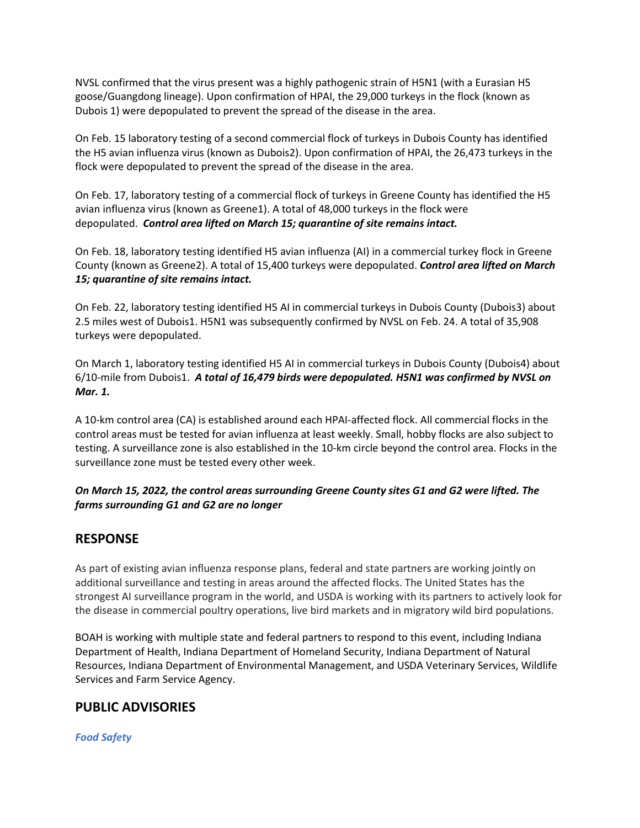NVSL confirmed that the virus present was a highly pathogenic strain of H5N1 (with a Eurasian H5 goose/Guangdong lineage). Upon confirmation of HPAI, the 29,000 turkeys in the flock (known as Dubois 1) were depopulated to prevent the spread of the disease in the area.  

On Feb. 15 laboratory testing of a second commercial flock of turkeys in Dubois County has identified the H5 avian influenza virus (known as Dubois2). Upon confirmation of HPAI, the 26,473 turkeys in the flock were depopulated to prevent the spread of the disease in the area. 

On Feb. 17, laboratory testing of a commercial flock of turkeys in Greene County has identified the H5 avian influenza virus (known as Greene1). A total of 48,000 turkeys in the flock were depopulated. *Control area lifted on March 15; quarantine of site remains intact.*

On Feb. 18, laboratory testing identified H5 avian influenza (AI) in a commercial turkey flock in Greene County (known as Greene2). A total of 15,400 turkeys were depopulated. *Control area lifted on March 15; quarantine of site remains intact.*

On Feb. 22, laboratory testing identified H5 AI in commercial turkeys in Dubois County (Dubois3) about 2.5 miles west of Dubois1. H5N1 was subsequently confirmed by NVSL on Feb. 24. A total of 35,908 turkeys were depopulated.

On March 1, laboratory testing identified H5 AI in commercial turkeys in Dubois County (Dubois4) about 6/10-mile from Dubois1. *A total of 16,479 birds were depopulated. H5N1 was confirmed by NVSL on Mar. 1.*

A 10-km control area (CA) is established around each HPAI-affected flock. All commercial flocks in the control areas must be tested for avian influenza at least weekly. Small, hobby flocks are also subject to testing. A surveillance zone is also established in the 10-km circle beyond the control area. Flocks in the surveillance zone must be tested every other week.

#### *On March 15, 2022, the control areas surrounding Greene County sites G1 and G2 were lifted. The farms surrounding G1 and G2 are no longer*

## **RESPONSE**

As part of existing avian influenza response plans, federal and state partners are working jointly on additional surveillance and testing in areas around the affected flocks. The United States has the strongest AI surveillance program in the world, and USDA is working with its partners to actively look for the disease in commercial poultry operations, live bird markets and in migratory wild bird populations.

BOAH is working with multiple state and federal partners to respond to this event, including Indiana Department of Health, Indiana Department of Homeland Security, Indiana Department of Natural Resources, Indiana Department of Environmental Management, and USDA Veterinary Services, Wildlife Services and Farm Service Agency.

## **PUBLIC ADVISORIES**

*Food Safety*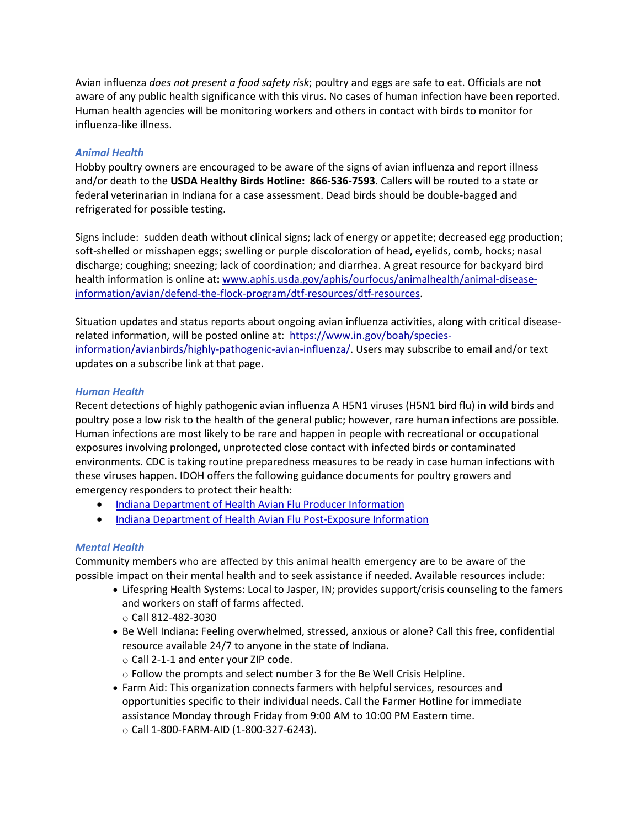Avian influenza *does not present a food safety risk*; poultry and eggs are safe to eat. Officials are not aware of any public health significance with this virus. No cases of human infection have been reported. Human health agencies will be monitoring workers and others in contact with birds to monitor for influenza-like illness.

#### *Animal Health*

Hobby poultry owners are encouraged to be aware of the signs of avian influenza and report illness and/or death to the **USDA Healthy Birds Hotline:  866-536-7593**. Callers will be routed to a state or federal veterinarian in Indiana for a case assessment. Dead birds should be double-bagged and refrigerated for possible testing. 

Signs include:  sudden death without clinical signs; lack of energy or appetite; decreased egg production; soft-shelled or misshapen eggs; swelling or purple discoloration of head, eyelids, comb, hocks; nasal discharge; coughing; sneezing; lack of coordination; and diarrhea. A great resource for backyard bird health information is online at**:** [www.aphis.usda.gov/aphis/ourfocus/animalhealth/animal-disease](http://www.aphis.usda.gov/aphis/ourfocus/animalhealth/animal-disease-information/avian/defend-the-flock-program/dtf-resources/dtf-resources)[information/avian/defend-the-flock-program/dtf-resources/dtf-resources](http://www.aphis.usda.gov/aphis/ourfocus/animalhealth/animal-disease-information/avian/defend-the-flock-program/dtf-resources/dtf-resources). 

Situation updates and status reports about ongoing avian influenza activities, along with critical diseaserelated information, will be posted online at:  [https://www.in.gov/boah/species](https://www.in.gov/boah/species-information/avianbirds/highly-pathogenic-avian-influenza/)[information/avianbirds/highly-pathogenic-avian-influenza/.](https://www.in.gov/boah/species-information/avianbirds/highly-pathogenic-avian-influenza/) Users may subscribe to email and/or text updates on a subscribe link at that page. 

#### *Human Health*

Recent detections of highly pathogenic avian influenza A H5N1 viruses (H5N1 bird flu) in wild birds and poultry pose a low risk to the health of the general public; however, rare human infections are possible. Human infections are most likely to be rare and happen in people with recreational or occupational exposures involving prolonged, unprotected close contact with infected birds or contaminated environments. CDC is taking routine preparedness measures to be ready in case human infections with these viruses happen. IDOH offers the following guidance documents for poultry growers and emergency responders to protect their health:

- [Indiana Department of Health Avian Flu Producer Information](https://www.in.gov/boah/files/2022-02-18_HPAI_Producer-packet.pdf)
- [Indiana Department of Health Avian](https://www.in.gov/boah/files/2022-02-18_HPAI_Producer-packet.pdf) Flu Post-Exposure Information

#### *Mental Health*

Community members who are affected by this animal health emergency are to be aware of the possible impact on their mental health and to seek assistance if needed. Available resources include:

- Lifespring Health Systems: Local to Jasper, IN; provides support/crisis counseling to the famers and workers on staff of farms affected. o Call 812-482-3030
- Be Well Indiana: Feeling overwhelmed, stressed, anxious or alone? Call this free, confidential resource available 24/7 to anyone in the state of Indiana.
	- o Call 2-1-1 and enter your ZIP code.
	- o Follow the prompts and select number 3 for the Be Well Crisis Helpline.
- Farm Aid: This organization connects farmers with helpful services, resources and opportunities specific to their individual needs. Call the Farmer Hotline for immediate assistance Monday through Friday from 9:00 AM to 10:00 PM Eastern time.   o Call 1-800-FARM-AID (1-800-327-6243).